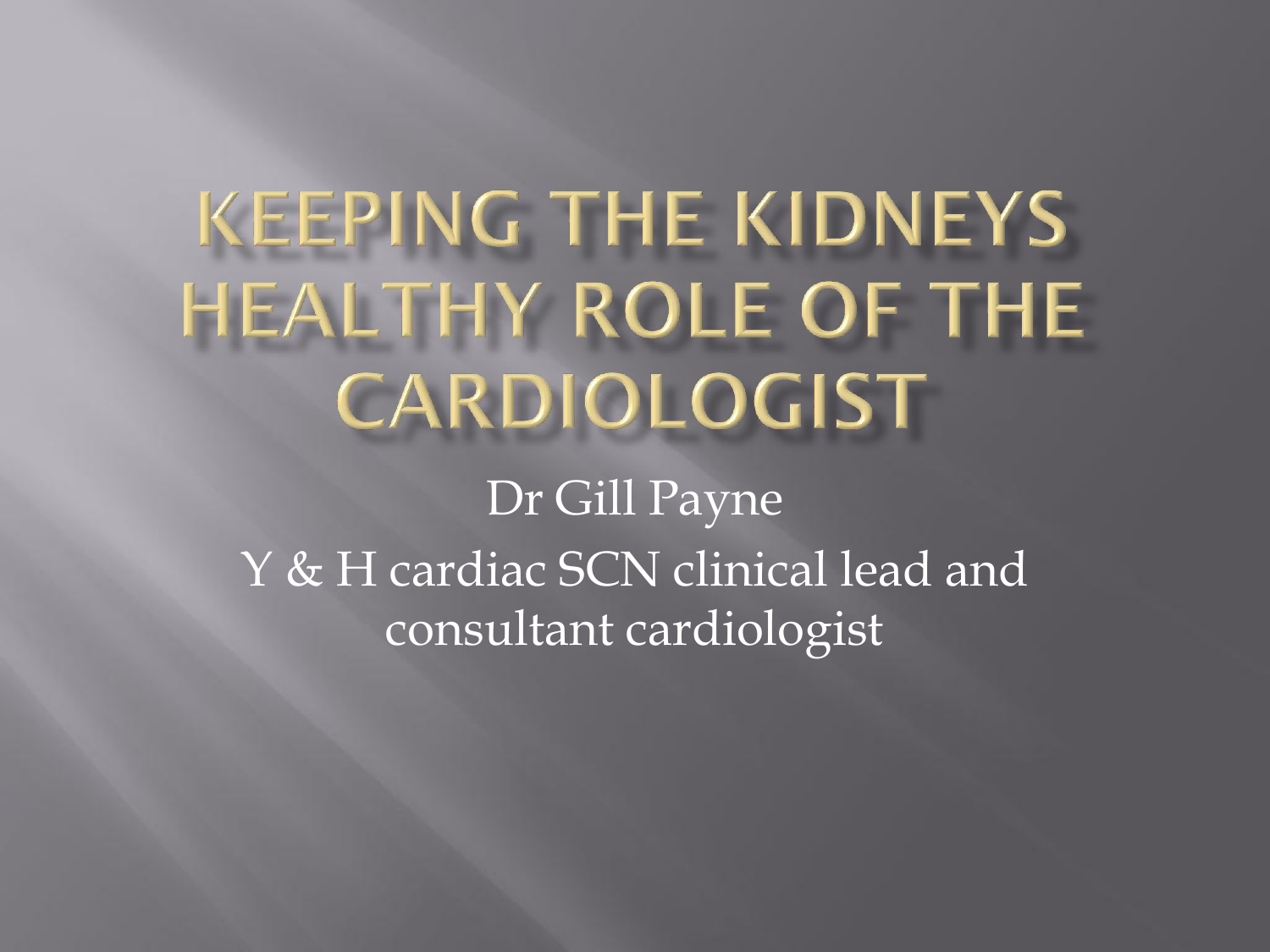# **KEEPING THE KIDNEYS** HEALTHY ROLE OF THE CARDIOLOGIST

Dr Gill Payne Y & H cardiac SCN clinical lead and consultant cardiologist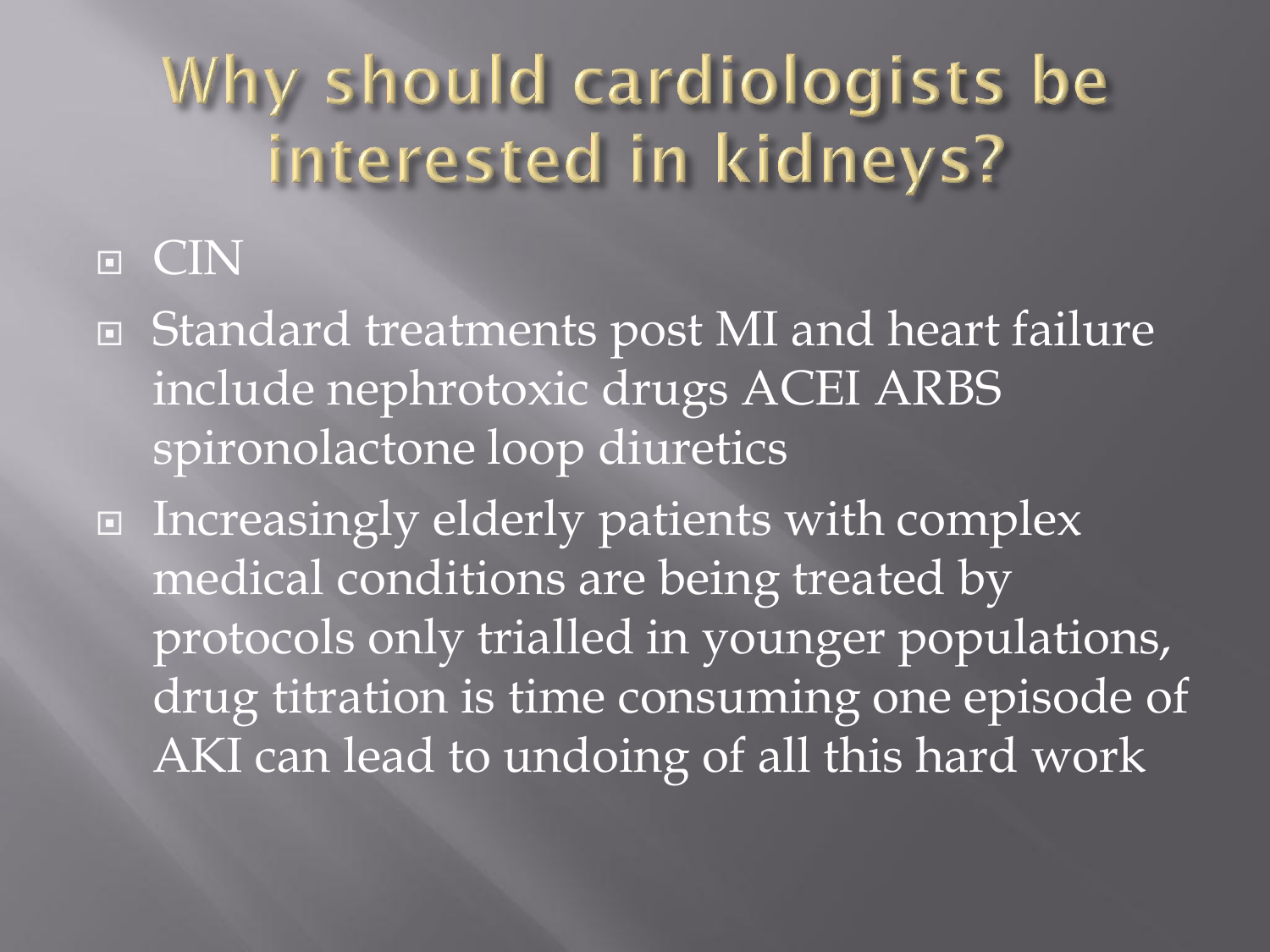#### Why should cardiologists be interested in kidneys?

#### **E** CIN

- Standard treatments post MI and heart failure include nephrotoxic drugs ACEI ARBS spironolactone loop diuretics
- Increasingly elderly patients with complex medical conditions are being treated by protocols only trialled in younger populations, drug titration is time consuming one episode of AKI can lead to undoing of all this hard work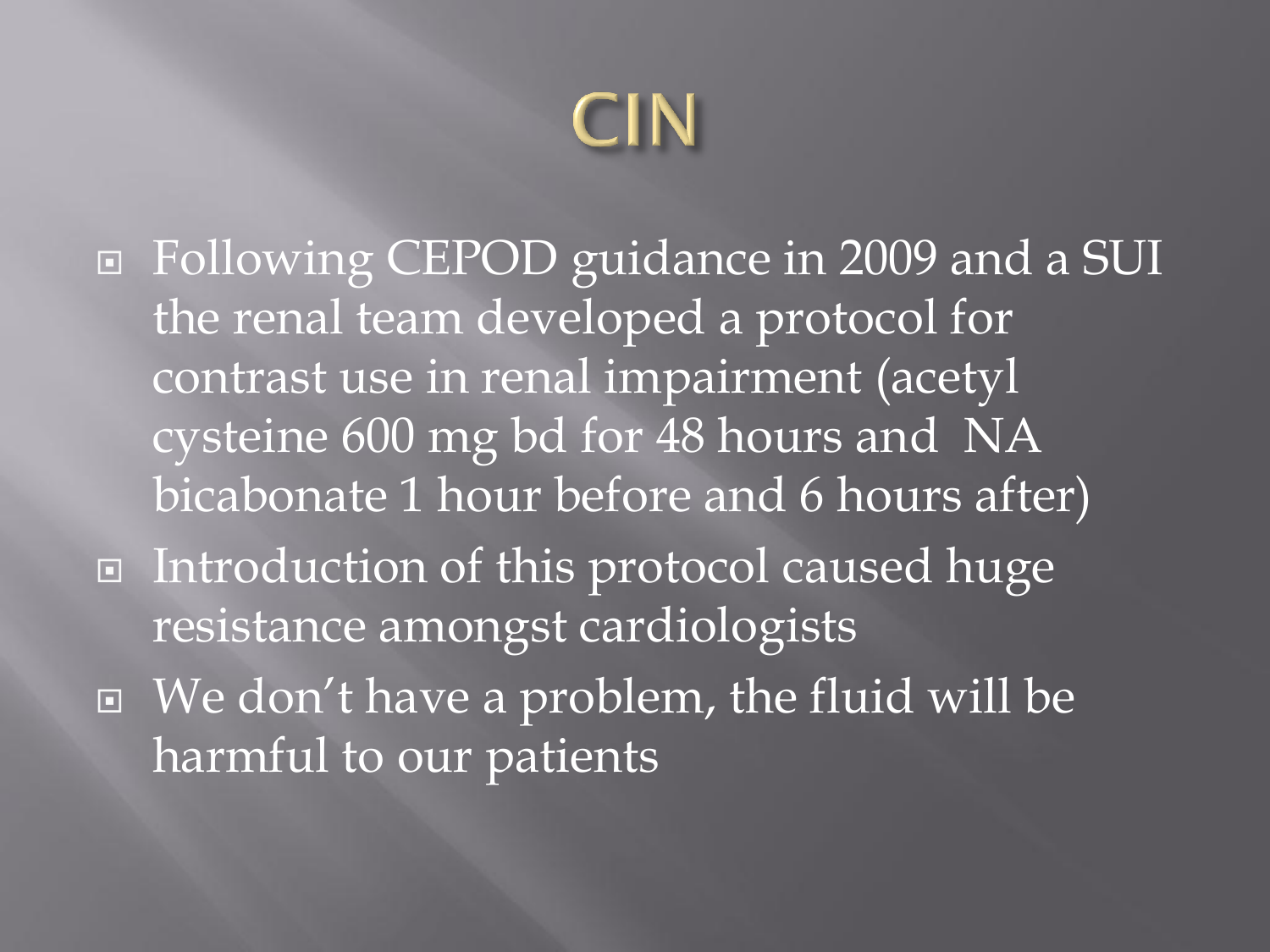

 Following CEPOD guidance in 2009 and a SUI the renal team developed a protocol for contrast use in renal impairment (acetyl cysteine 600 mg bd for 48 hours and NA bicabonate 1 hour before and 6 hours after) ■ Introduction of this protocol caused huge resistance amongst cardiologists We don't have a problem, the fluid will be harmful to our patients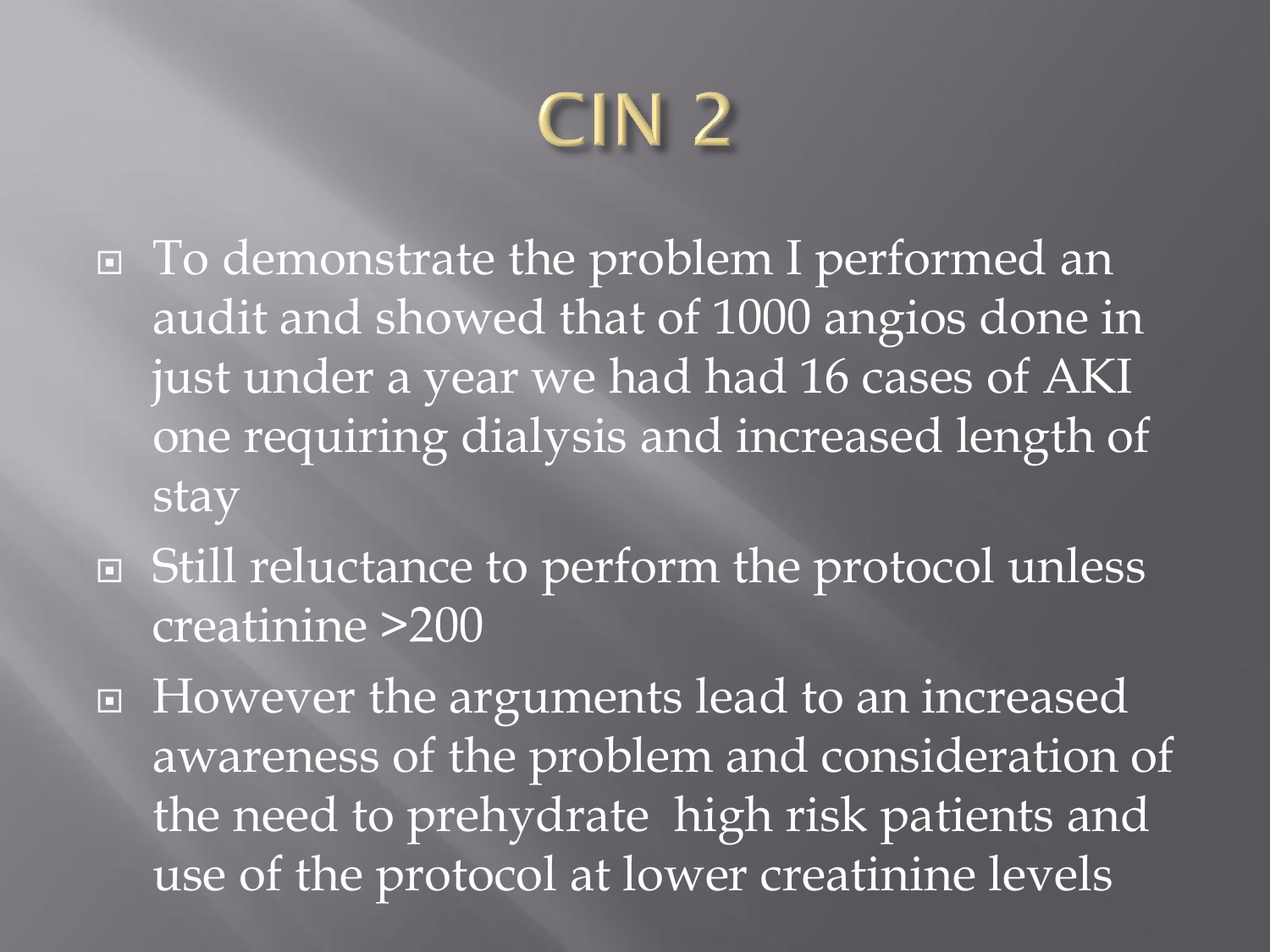# CIN<sub>2</sub>

- □ To demonstrate the problem I performed an audit and showed that of 1000 angios done in just under a year we had had 16 cases of AKI one requiring dialysis and increased length of stay
- Still reluctance to perform the protocol unless creatinine >200
- □ However the arguments lead to an increased awareness of the problem and consideration of the need to prehydrate high risk patients and use of the protocol at lower creatinine levels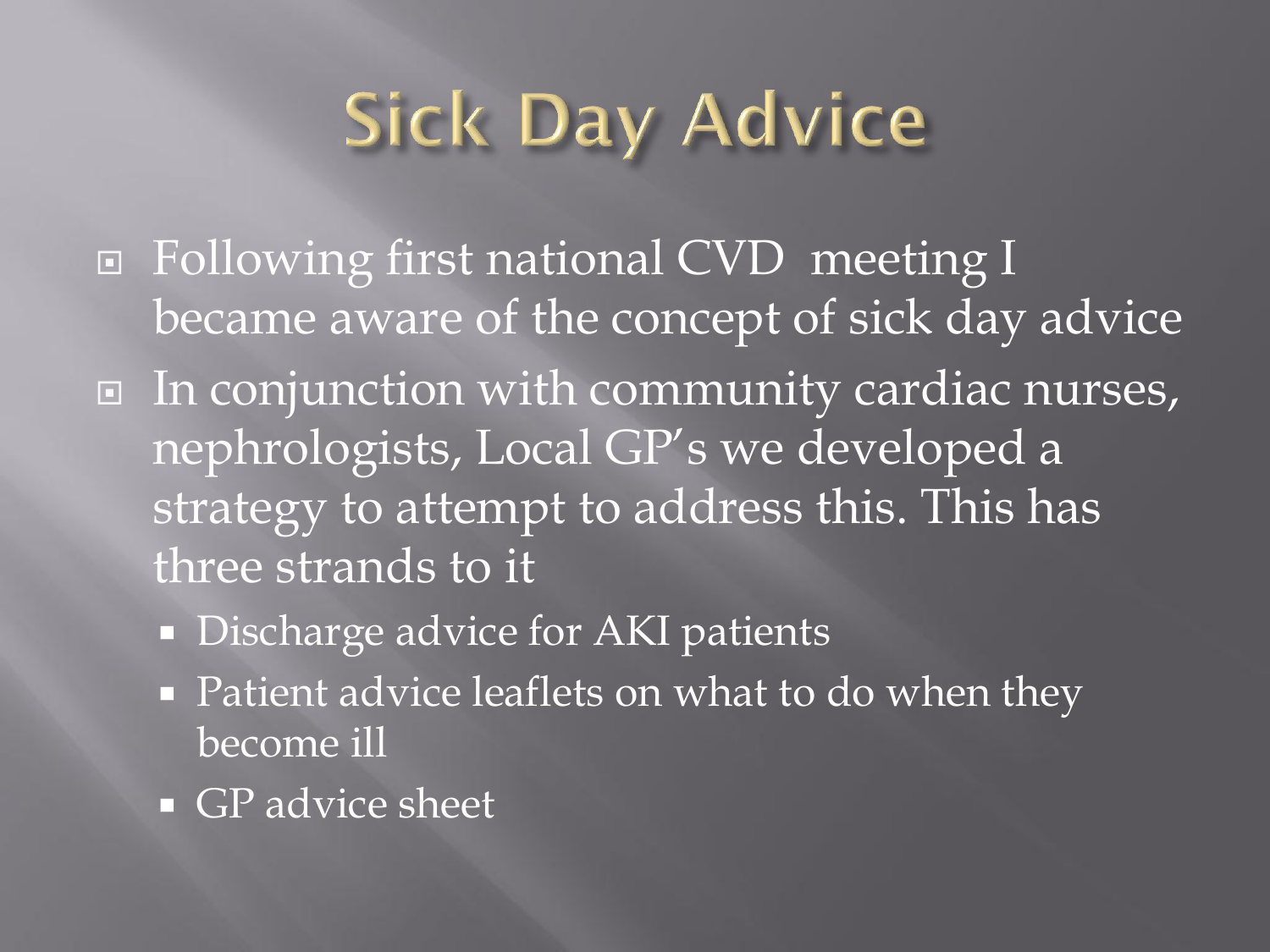### **Sick Day Advice**

- Following first national CVD meeting I became aware of the concept of sick day advice
- □ In conjunction with community cardiac nurses, nephrologists, Local GP's we developed a strategy to attempt to address this. This has three strands to it
	- Discharge advice for AKI patients
	- Patient advice leaflets on what to do when they become ill
	- GP advice sheet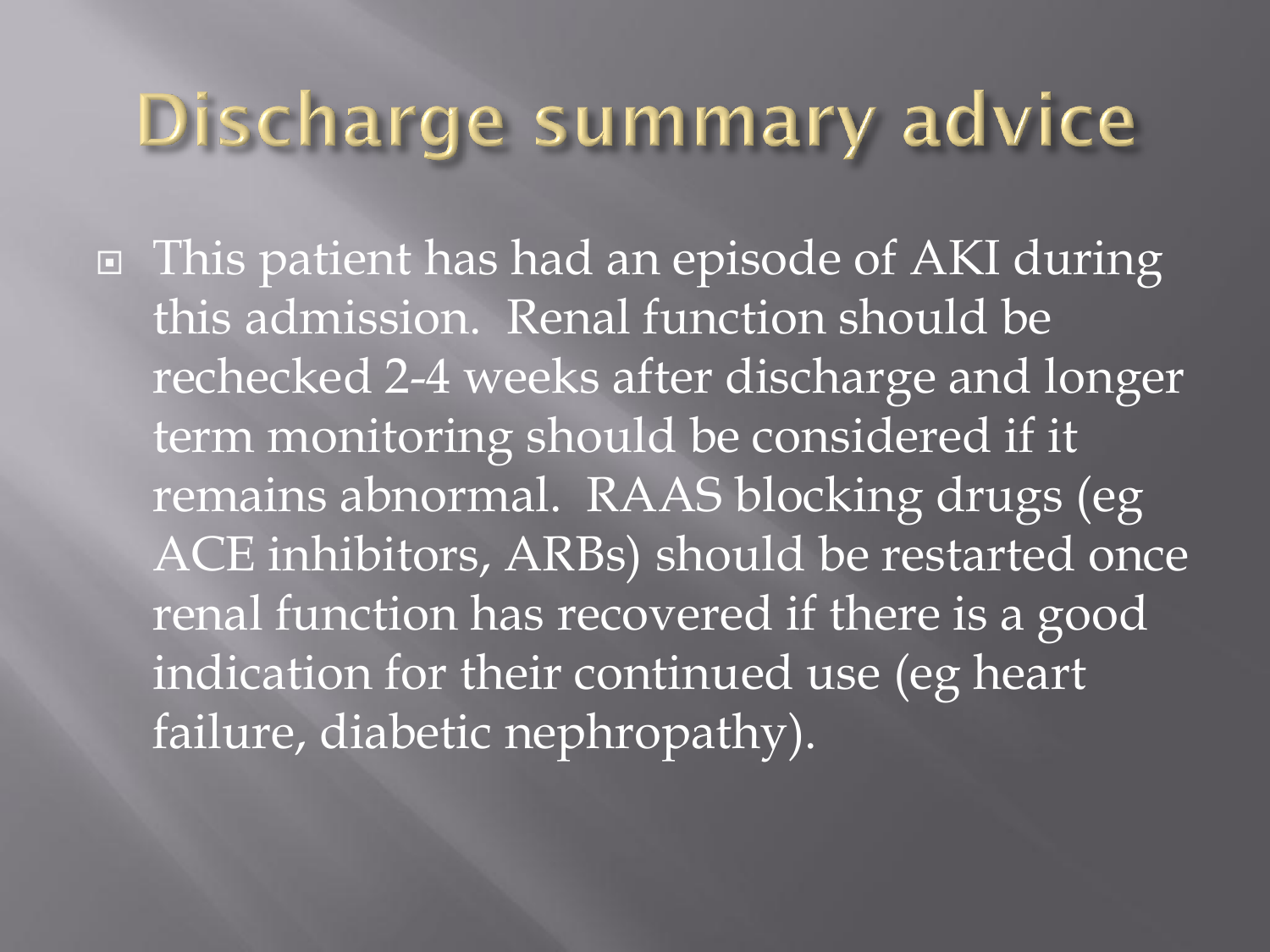#### Discharge summary advice

 This patient has had an episode of AKI during this admission. Renal function should be rechecked 2-4 weeks after discharge and longer term monitoring should be considered if it remains abnormal. RAAS blocking drugs (eg ACE inhibitors, ARBs) should be restarted once renal function has recovered if there is a good indication for their continued use (eg heart failure, diabetic nephropathy).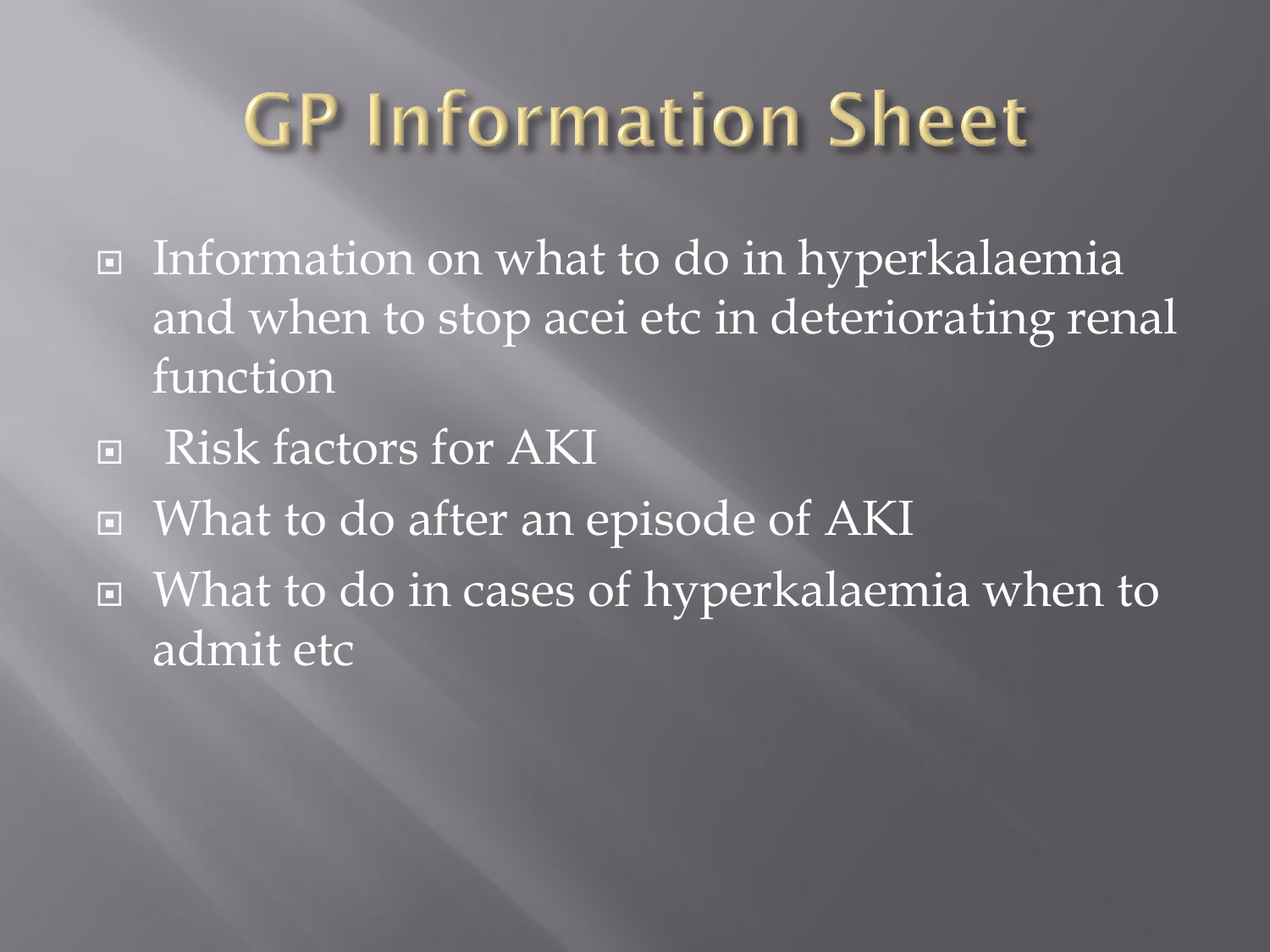#### **GP Information Sheet**

- □ Information on what to do in hyperkalaemia and when to stop acei etc in deteriorating renal function
- **E** Risk factors for AKI
- What to do after an episode of AKI
- What to do in cases of hyperkalaemia when to admit etc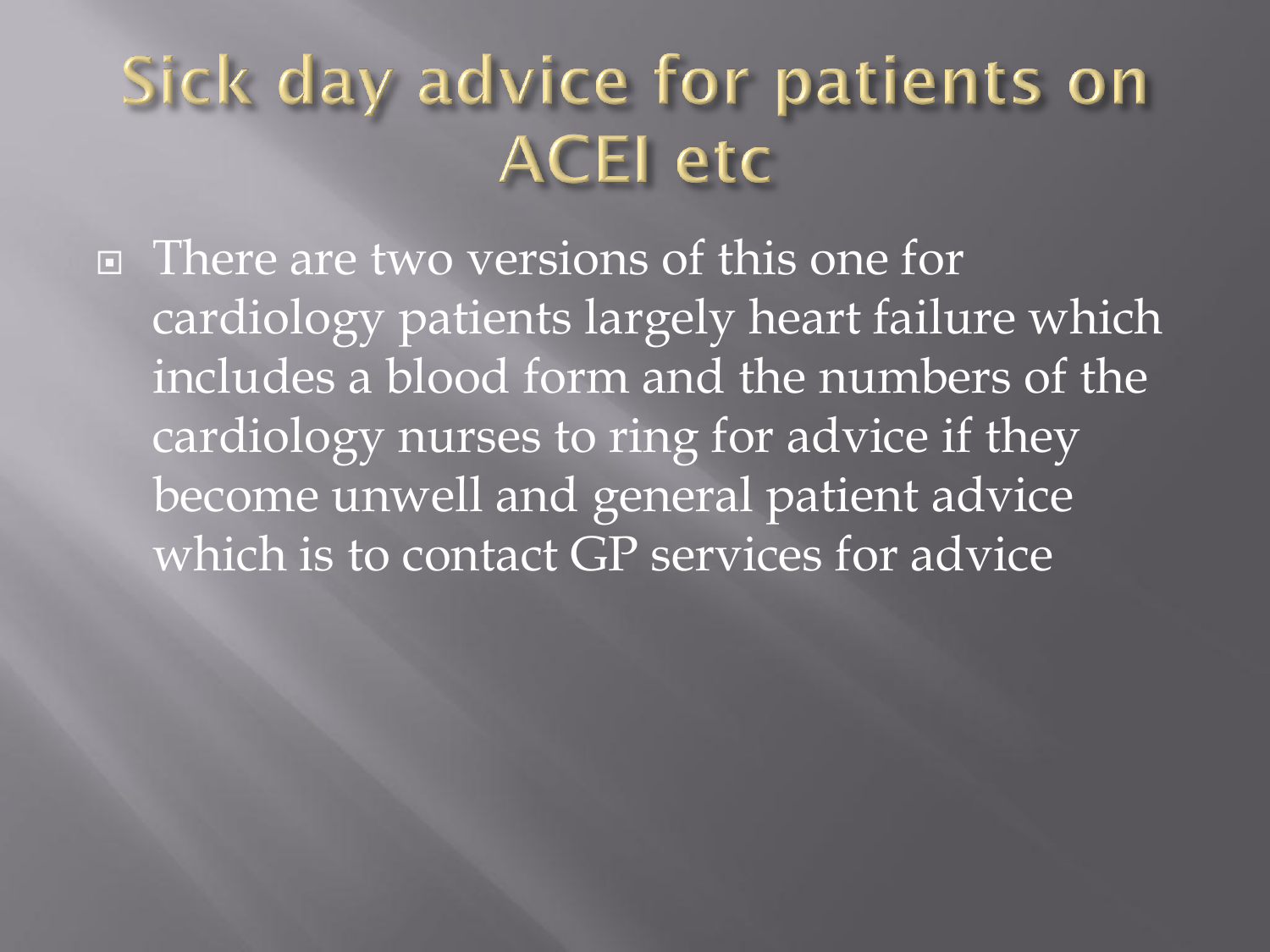#### Sick day advice for patients on **ACEI etc**

□ There are two versions of this one for cardiology patients largely heart failure which includes a blood form and the numbers of the cardiology nurses to ring for advice if they become unwell and general patient advice which is to contact GP services for advice